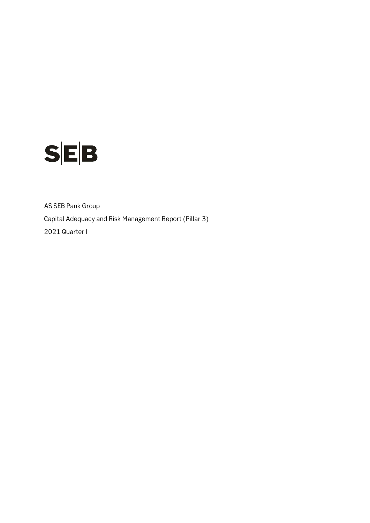

AS SEB Pank Group Capital Adequacy and Risk Management Report (Pillar 3) 2021 Quarter I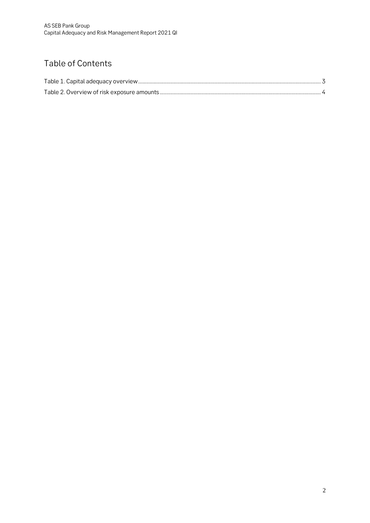## Table of Contents

<span id="page-1-0"></span>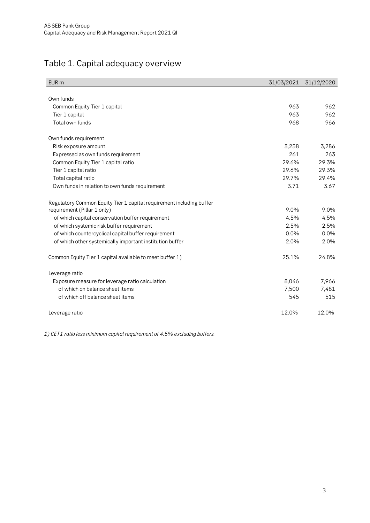## Table 1. Capital adequacy overview

| EUR <sub>m</sub>                                                     | 31/03/2021 | 31/12/2020 |
|----------------------------------------------------------------------|------------|------------|
|                                                                      |            |            |
| Own funds                                                            |            |            |
| Common Equity Tier 1 capital                                         | 963        | 962        |
| Tier 1 capital                                                       | 963        | 962        |
| Total own funds                                                      | 968        | 966        |
| Own funds requirement                                                |            |            |
| Risk exposure amount                                                 | 3,258      | 3,286      |
| Expressed as own funds requirement                                   | 261        | 263        |
| Common Equity Tier 1 capital ratio                                   | 29.6%      | 29.3%      |
| Tier 1 capital ratio                                                 | 29.6%      | 29.3%      |
| Total capital ratio                                                  | 29.7%      | 29.4%      |
| Own funds in relation to own funds requirement                       | 3.71       | 3.67       |
| Regulatory Common Equity Tier 1 capital requirement including buffer |            |            |
| requirement (Pillar 1 only)                                          | 9.0%       | 9.0%       |
| of which capital conservation buffer requirement                     | 4.5%       | 4.5%       |
| of which systemic risk buffer requirement                            | 2.5%       | 2.5%       |
| of which countercyclical capital buffer requirement                  | $0.0\%$    | 0.0%       |
| of which other systemically important institution buffer             | 2.0%       | 2.0%       |
| Common Equity Tier 1 capital available to meet buffer 1)             | 25.1%      | 24.8%      |
| Leverage ratio                                                       |            |            |
| Exposure measure for leverage ratio calculation                      | 8,046      | 7,966      |
| of which on balance sheet items                                      | 7,500      | 7,481      |
| of which off balance sheet items                                     | 545        | 515        |
| Leverage ratio                                                       | 12.0%      | 12.0%      |

*1) CET1 ratio less minimum capital requirement of 4.5% excluding buffers.*